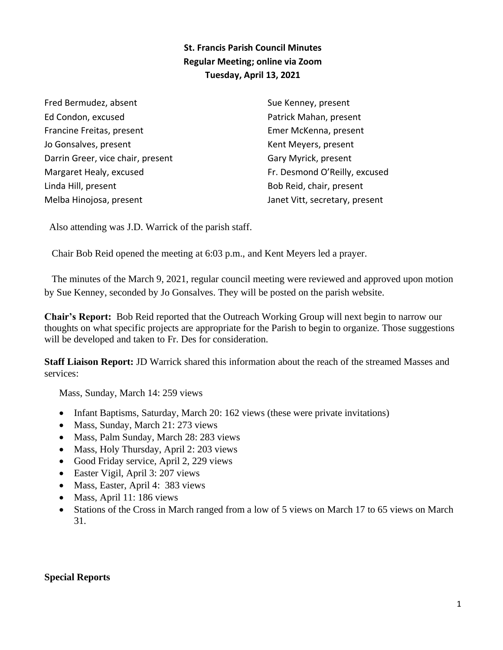## **St. Francis Parish Council Minutes Regular Meeting; online via Zoom Tuesday, April 13, 2021**

Fred Bermudez, absent Ed Condon, excused Francine Freitas, present Jo Gonsalves, present Darrin Greer, vice chair, present Margaret Healy, excused Linda Hill, present Melba Hinojosa, present

Sue Kenney, present Patrick Mahan, present Emer McKenna, present Kent Meyers, present Gary Myrick, present Fr. Desmond O'Reilly, excused Bob Reid, chair, present Janet Vitt, secretary, present

Also attending was J.D. Warrick of the parish staff.

Chair Bob Reid opened the meeting at 6:03 p.m., and Kent Meyers led a prayer.

 The minutes of the March 9, 2021, regular council meeting were reviewed and approved upon motion by Sue Kenney, seconded by Jo Gonsalves. They will be posted on the parish website.

**Chair's Report:** Bob Reid reported that the Outreach Working Group will next begin to narrow our thoughts on what specific projects are appropriate for the Parish to begin to organize. Those suggestions will be developed and taken to Fr. Des for consideration.

**Staff Liaison Report:** JD Warrick shared this information about the reach of the streamed Masses and services:

Mass, Sunday, March 14: 259 views

- Infant Baptisms, Saturday, March 20: 162 views (these were private invitations)
- Mass, Sunday, March 21: 273 views
- Mass, Palm Sunday, March 28: 283 views
- Mass, Holy Thursday, April 2: 203 views
- Good Friday service, April 2, 229 views
- Easter Vigil, April 3: 207 views
- Mass, Easter, April 4: 383 views
- Mass, April 11: 186 views
- Stations of the Cross in March ranged from a low of 5 views on March 17 to 65 views on March 31.

#### **Special Reports**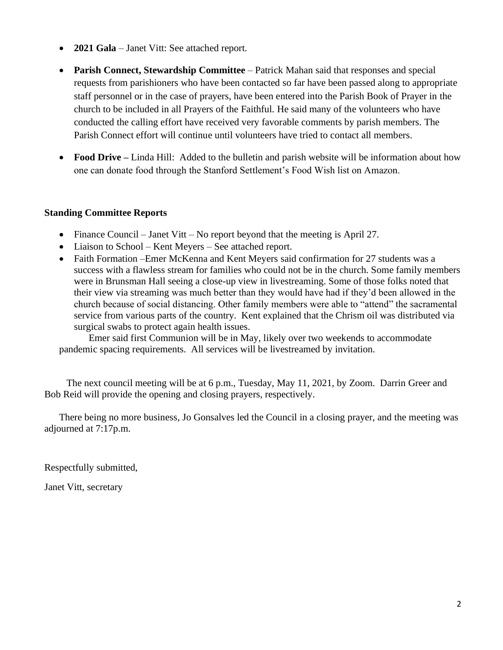- **2021 Gala** Janet Vitt: See attached report.
- **Parish Connect, Stewardship Committee** Patrick Mahan said that responses and special requests from parishioners who have been contacted so far have been passed along to appropriate staff personnel or in the case of prayers, have been entered into the Parish Book of Prayer in the church to be included in all Prayers of the Faithful. He said many of the volunteers who have conducted the calling effort have received very favorable comments by parish members. The Parish Connect effort will continue until volunteers have tried to contact all members.
- **Food Drive** Linda Hill: Added to the bulletin and parish website will be information about how one can donate food through the Stanford Settlement's Food Wish list on Amazon.

#### **Standing Committee Reports**

- Finance Council Janet Vitt No report beyond that the meeting is April 27.
- Liaison to School Kent Meyers See attached report.
- Faith Formation –Emer McKenna and Kent Meyers said confirmation for 27 students was a success with a flawless stream for families who could not be in the church. Some family members were in Brunsman Hall seeing a close-up view in livestreaming. Some of those folks noted that their view via streaming was much better than they would have had if they'd been allowed in the church because of social distancing. Other family members were able to "attend" the sacramental service from various parts of the country. Kent explained that the Chrism oil was distributed via surgical swabs to protect again health issues.

 Emer said first Communion will be in May, likely over two weekends to accommodate pandemic spacing requirements. All services will be livestreamed by invitation.

 The next council meeting will be at 6 p.m., Tuesday, May 11, 2021, by Zoom. Darrin Greer and Bob Reid will provide the opening and closing prayers, respectively.

 There being no more business, Jo Gonsalves led the Council in a closing prayer, and the meeting was adjourned at 7:17p.m.

Respectfully submitted,

Janet Vitt, secretary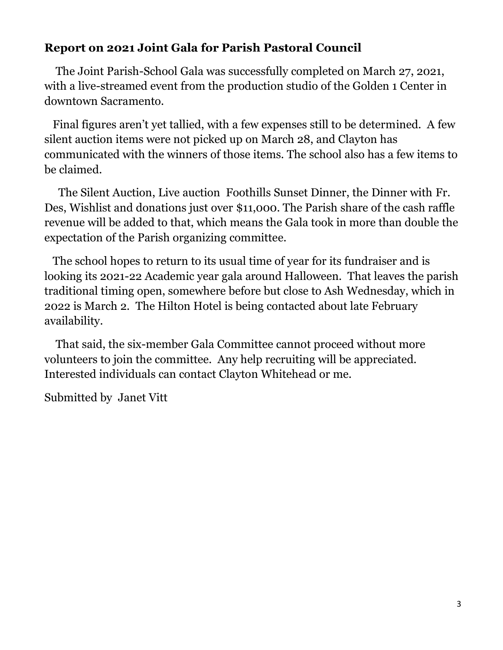# **Report on 2021 Joint Gala for Parish Pastoral Council**

 The Joint Parish-School Gala was successfully completed on March 27, 2021, with a live-streamed event from the production studio of the Golden 1 Center in downtown Sacramento.

 Final figures aren't yet tallied, with a few expenses still to be determined. A few silent auction items were not picked up on March 28, and Clayton has communicated with the winners of those items. The school also has a few items to be claimed.

 The Silent Auction, Live auction Foothills Sunset Dinner, the Dinner with Fr. Des, Wishlist and donations just over \$11,000. The Parish share of the cash raffle revenue will be added to that, which means the Gala took in more than double the expectation of the Parish organizing committee.

 The school hopes to return to its usual time of year for its fundraiser and is looking its 2021-22 Academic year gala around Halloween. That leaves the parish traditional timing open, somewhere before but close to Ash Wednesday, which in 2022 is March 2. The Hilton Hotel is being contacted about late February availability.

 That said, the six-member Gala Committee cannot proceed without more volunteers to join the committee. Any help recruiting will be appreciated. Interested individuals can contact Clayton Whitehead or me.

Submitted by Janet Vitt